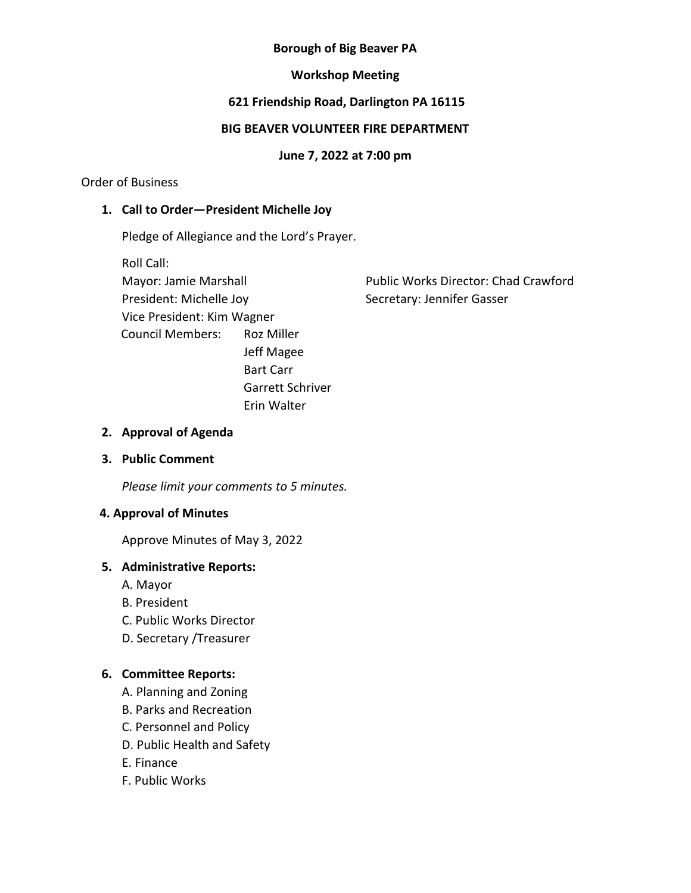### **Borough of Big Beaver PA**

## **Workshop Meeting**

## **621 Friendship Road, Darlington PA 16115**

## **BIG BEAVER VOLUNTEER FIRE DEPARTMENT**

## **June 7, 2022 at 7:00 pm**

### Order of Business

## **1. Call to Order—President Michelle Joy**

Pledge of Allegiance and the Lord's Prayer.

Roll Call: Mayor: Jamie Marshall **Public Works Director: Chad Crawford** President: Michelle Joy Secretary: Jennifer Gasser Vice President: Kim Wagner Council Members: Roz Miller Jeff Magee Bart Carr Garrett Schriver Erin Walter

### **2. Approval of Agenda**

### **3. Public Comment**

*Please limit your comments to 5 minutes.*

### **4. Approval of Minutes**

Approve Minutes of May 3, 2022

# **5. Administrative Reports:**

- A. Mayor
- B. President
- C. Public Works Director
- D. Secretary /Treasurer

# **6. Committee Reports:**

- A. Planning and Zoning
- B. Parks and Recreation
- C. Personnel and Policy
- D. Public Health and Safety
- E. Finance
- F. Public Works